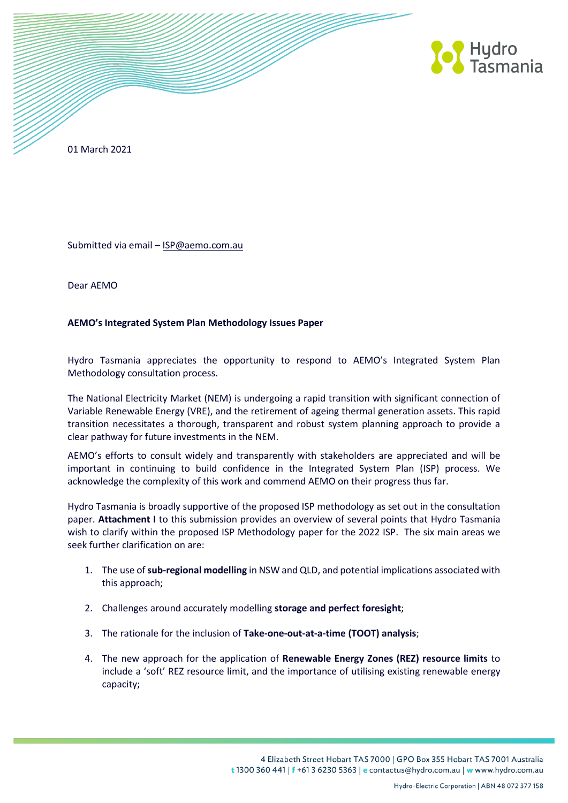

01 March 2021

Submitted via email - [ISP@aemo.com.au](mailto:ISP@aemo.com.au)

Dear AEMO

## **AEMO's Integrated System Plan Methodology Issues Paper**

Hydro Tasmania appreciates the opportunity to respond to AEMO's Integrated System Plan Methodology consultation process.

The National Electricity Market (NEM) is undergoing a rapid transition with significant connection of Variable Renewable Energy (VRE), and the retirement of ageing thermal generation assets. This rapid transition necessitates a thorough, transparent and robust system planning approach to provide a clear pathway for future investments in the NEM.

AEMO's efforts to consult widely and transparently with stakeholders are appreciated and will be important in continuing to build confidence in the Integrated System Plan (ISP) process. We acknowledge the complexity of this work and commend AEMO on their progress thus far.

Hydro Tasmania is broadly supportive of the proposed ISP methodology as set out in the consultation paper. **Attachment I** to this submission provides an overview of several points that Hydro Tasmania wish to clarify within the proposed ISP Methodology paper for the 2022 ISP. The six main areas we seek further clarification on are:

- 1. The use of **sub-regional modelling** in NSW and QLD, and potential implications associated with this approach;
- 2. Challenges around accurately modelling **storage and perfect foresight**;
- 3. The rationale for the inclusion of **Take-one-out-at-a-time (TOOT) analysis**;
- 4. The new approach for the application of **Renewable Energy Zones (REZ) resource limits** to include a 'soft' REZ resource limit, and the importance of utilising existing renewable energy capacity;

4 Elizabeth Street Hobart TAS 7000 | GPO Box 355 Hobart TAS 7001 Australia t 1300 360 441 | f +61 3 6230 5363 | e contactus@hydro.com.au | w www.hydro.com.au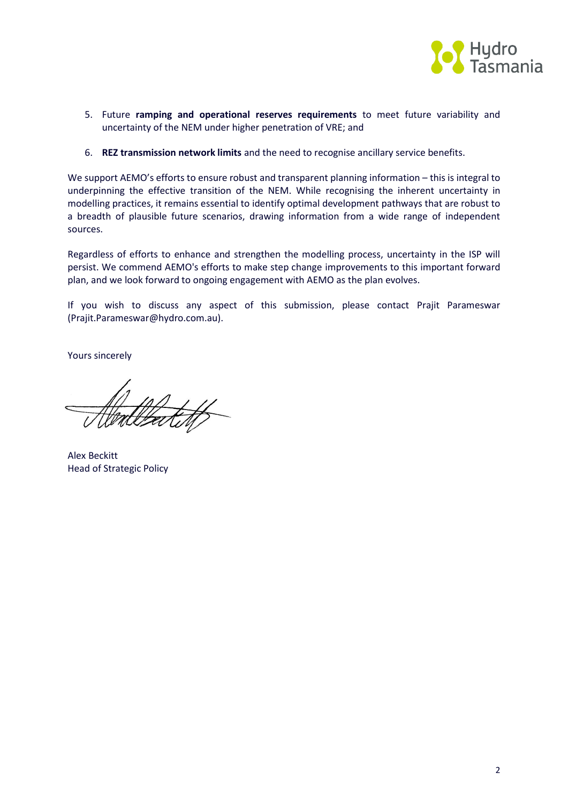

- 5. Future **ramping and operational reserves requirements** to meet future variability and uncertainty of the NEM under higher penetration of VRE; and
- 6. **REZ transmission network limits** and the need to recognise ancillary service benefits.

We support AEMO's efforts to ensure robust and transparent planning information – this is integral to underpinning the effective transition of the NEM. While recognising the inherent uncertainty in modelling practices, it remains essential to identify optimal development pathways that are robust to a breadth of plausible future scenarios, drawing information from a wide range of independent sources.

Regardless of efforts to enhance and strengthen the modelling process, uncertainty in the ISP will persist. We commend AEMO's efforts to make step change improvements to this important forward plan, and we look forward to ongoing engagement with AEMO as the plan evolves.

If you wish to discuss any aspect of this submission, please contact Prajit Parameswar (Prajit.Parameswar@hydro.com.au).

Yours sincerely

Alex Beckitt Head of Strategic Policy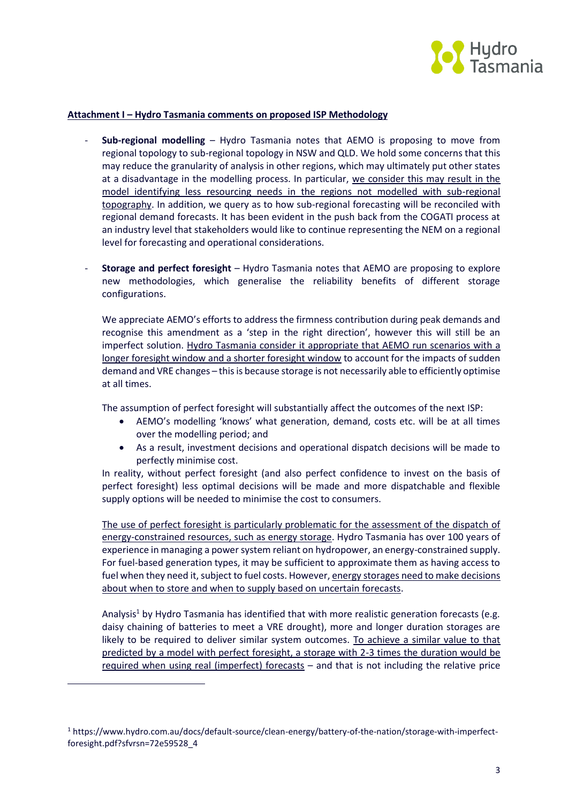

## **Attachment I – Hydro Tasmania comments on proposed ISP Methodology**

- **Sub-regional modelling** Hydro Tasmania notes that AEMO is proposing to move from regional topology to sub-regional topology in NSW and QLD. We hold some concerns that this may reduce the granularity of analysis in other regions, which may ultimately put other states at a disadvantage in the modelling process. In particular, we consider this may result in the model identifying less resourcing needs in the regions not modelled with sub-regional topography. In addition, we query as to how sub-regional forecasting will be reconciled with regional demand forecasts. It has been evident in the push back from the COGATI process at an industry level that stakeholders would like to continue representing the NEM on a regional level for forecasting and operational considerations.
- **Storage and perfect foresight** Hydro Tasmania notes that AEMO are proposing to explore new methodologies, which generalise the reliability benefits of different storage configurations.

We appreciate AEMO's efforts to address the firmness contribution during peak demands and recognise this amendment as a 'step in the right direction', however this will still be an imperfect solution. Hydro Tasmania consider it appropriate that AEMO run scenarios with a longer foresight window and a shorter foresight window to account for the impacts of sudden demand and VRE changes – this is because storage is not necessarily able to efficiently optimise at all times.

The assumption of perfect foresight will substantially affect the outcomes of the next ISP:

- AEMO's modelling 'knows' what generation, demand, costs etc. will be at all times over the modelling period; and
- As a result, investment decisions and operational dispatch decisions will be made to perfectly minimise cost.

In reality, without perfect foresight (and also perfect confidence to invest on the basis of perfect foresight) less optimal decisions will be made and more dispatchable and flexible supply options will be needed to minimise the cost to consumers.

The use of perfect foresight is particularly problematic for the assessment of the dispatch of energy-constrained resources, such as energy storage. Hydro Tasmania has over 100 years of experience in managing a power system reliant on hydropower, an energy-constrained supply. For fuel-based generation types, it may be sufficient to approximate them as having access to fuel when they need it, subject to fuel costs. However, energy storages need to make decisions about when to store and when to supply based on uncertain forecasts.

Analysis<sup>1</sup> by Hydro Tasmania has identified that with more realistic generation forecasts (e.g. daisy chaining of batteries to meet a VRE drought), more and longer duration storages are likely to be required to deliver similar system outcomes. To achieve a similar value to that predicted by a model with perfect foresight, a storage with 2-3 times the duration would be required when using real (imperfect) forecasts – and that is not including the relative price

 $\overline{a}$ 

<sup>1</sup> https://www.hydro.com.au/docs/default-source/clean-energy/battery-of-the-nation/storage-with-imperfectforesight.pdf?sfvrsn=72e59528\_4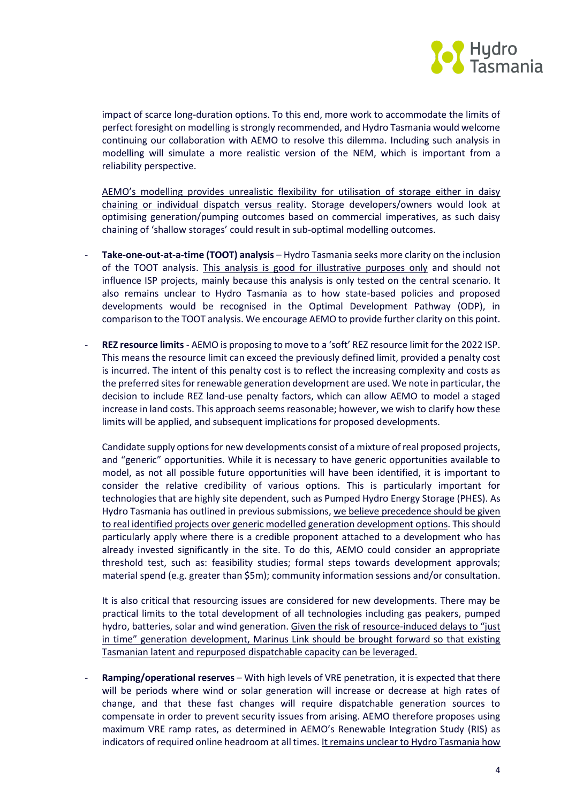

impact of scarce long-duration options. To this end, more work to accommodate the limits of perfect foresight on modelling is strongly recommended, and Hydro Tasmania would welcome continuing our collaboration with AEMO to resolve this dilemma. Including such analysis in modelling will simulate a more realistic version of the NEM, which is important from a reliability perspective.

AEMO's modelling provides unrealistic flexibility for utilisation of storage either in daisy chaining or individual dispatch versus reality. Storage developers/owners would look at optimising generation/pumping outcomes based on commercial imperatives, as such daisy chaining of 'shallow storages' could result in sub-optimal modelling outcomes.

- **Take-one-out-at-a-time (TOOT) analysis** Hydro Tasmania seeks more clarity on the inclusion of the TOOT analysis. This analysis is good for illustrative purposes only and should not influence ISP projects, mainly because this analysis is only tested on the central scenario. It also remains unclear to Hydro Tasmania as to how state-based policies and proposed developments would be recognised in the Optimal Development Pathway (ODP), in comparison to the TOOT analysis. We encourage AEMO to provide further clarity on this point.
- **REZ resource limits** AEMO is proposing to move to a 'soft' REZ resource limit for the 2022 ISP. This means the resource limit can exceed the previously defined limit, provided a penalty cost is incurred. The intent of this penalty cost is to reflect the increasing complexity and costs as the preferred sites for renewable generation development are used. We note in particular, the decision to include REZ land-use penalty factors, which can allow AEMO to model a staged increase in land costs. This approach seems reasonable; however, we wish to clarify how these limits will be applied, and subsequent implications for proposed developments.

Candidate supply options for new developments consist of a mixture of real proposed projects, and "generic" opportunities. While it is necessary to have generic opportunities available to model, as not all possible future opportunities will have been identified, it is important to consider the relative credibility of various options. This is particularly important for technologies that are highly site dependent, such as Pumped Hydro Energy Storage (PHES). As Hydro Tasmania has outlined in previous submissions, we believe precedence should be given to real identified projects over generic modelled generation development options. This should particularly apply where there is a credible proponent attached to a development who has already invested significantly in the site. To do this, AEMO could consider an appropriate threshold test, such as: feasibility studies; formal steps towards development approvals; material spend (e.g. greater than \$5m); community information sessions and/or consultation.

It is also critical that resourcing issues are considered for new developments. There may be practical limits to the total development of all technologies including gas peakers, pumped hydro, batteries, solar and wind generation. Given the risk of resource-induced delays to "just in time" generation development, Marinus Link should be brought forward so that existing Tasmanian latent and repurposed dispatchable capacity can be leveraged.

- **Ramping/operational reserves** – With high levels of VRE penetration, it is expected that there will be periods where wind or solar generation will increase or decrease at high rates of change, and that these fast changes will require dispatchable generation sources to compensate in order to prevent security issues from arising. AEMO therefore proposes using maximum VRE ramp rates, as determined in AEMO's Renewable Integration Study (RIS) as indicators of required online headroom at all times. It remains unclear to Hydro Tasmania how